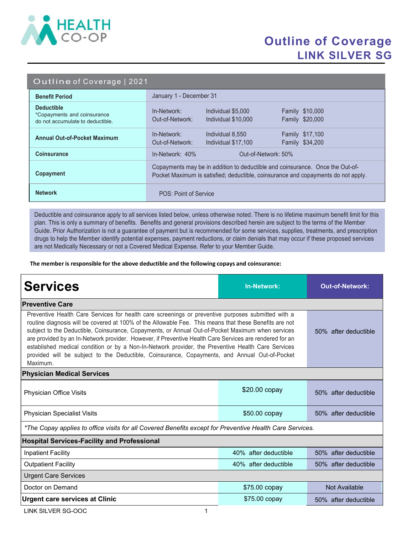

## Outline of Coverage LINK SILVER SG

#### Outline of Coverage | 2021

| <b>Benefit Period</b>                                                                | January 1 - December 31                                                                                                                                            |  |  |
|--------------------------------------------------------------------------------------|--------------------------------------------------------------------------------------------------------------------------------------------------------------------|--|--|
| <b>Deductible</b><br>*Copayments and coinsurance<br>do not accumulate to deductible. | <b>Family \$10,000</b><br>In-Network:<br>Individual \$5,000<br>Family \$20,000<br>Out-of-Network:<br>Individual \$10,000                                           |  |  |
| <b>Annual Out-of-Pocket Maximum</b>                                                  | Family \$17,100<br>In-Network:<br>Individual 8,550<br>Family \$34,200<br>Out-of-Network:<br>Individual \$17,100                                                    |  |  |
| <b>Coinsurance</b>                                                                   | $In-Network: 40%$<br>Out-of-Network: 50%                                                                                                                           |  |  |
| Copayment                                                                            | Copayments may be in addition to deductible and coinsurance. Once the Out-of-<br>Pocket Maximum is satisfied; deductible, coinsurance and copayments do not apply. |  |  |
| <b>Network</b>                                                                       | POS: Point of Service                                                                                                                                              |  |  |

Deductible and coinsurance apply to all services listed below, unless otherwise noted. There is no lifetime maximum benefit limit for this plan. This is only a summary of benefits. Benefits and general provisions described herein are subject to the terms of the Member Guide. Prior Authorization is not a guarantee of payment but is recommended for some services, supplies, treatments, and prescription drugs to help the Member identify potential expenses, payment reductions, or claim denials that may occur if these proposed services are not Medically Necessary or not a Covered Medical Expense. Refer to your Member Guide.

The member is responsible for the above deductible and the following copays and coinsurance:

| <b>Services</b>                                                                                                                                                                                                                                                                                                                                                                                                                                                                                                                                                                                                                                 | <b>In-Network:</b>   | <b>Out-of-Network:</b> |  |  |
|-------------------------------------------------------------------------------------------------------------------------------------------------------------------------------------------------------------------------------------------------------------------------------------------------------------------------------------------------------------------------------------------------------------------------------------------------------------------------------------------------------------------------------------------------------------------------------------------------------------------------------------------------|----------------------|------------------------|--|--|
| <b>Preventive Care</b>                                                                                                                                                                                                                                                                                                                                                                                                                                                                                                                                                                                                                          |                      |                        |  |  |
| Preventive Health Care Services for health care screenings or preventive purposes submitted with a<br>routine diagnosis will be covered at 100% of the Allowable Fee. This means that these Benefits are not<br>subject to the Deductible, Coinsurance, Copayments, or Annual Out-of-Pocket Maximum when services<br>are provided by an In-Network provider. However, if Preventive Health Care Services are rendered for an<br>established medical condition or by a Non-In-Network provider, the Preventive Health Care Services<br>provided will be subject to the Deductible, Coinsurance, Copayments, and Annual Out-of-Pocket<br>Maximum. | 50% after deductible |                        |  |  |
| <b>Physician Medical Services</b>                                                                                                                                                                                                                                                                                                                                                                                                                                                                                                                                                                                                               |                      |                        |  |  |
| Physician Office Visits                                                                                                                                                                                                                                                                                                                                                                                                                                                                                                                                                                                                                         | \$20.00 copay        | 50% after deductible   |  |  |
| <b>Physician Specialist Visits</b>                                                                                                                                                                                                                                                                                                                                                                                                                                                                                                                                                                                                              | \$50.00 copay        | 50% after deductible   |  |  |
| *The Copay applies to office visits for all Covered Benefits except for Preventive Health Care Services.                                                                                                                                                                                                                                                                                                                                                                                                                                                                                                                                        |                      |                        |  |  |
| <b>Hospital Services-Facility and Professional</b>                                                                                                                                                                                                                                                                                                                                                                                                                                                                                                                                                                                              |                      |                        |  |  |
| <b>Inpatient Facility</b>                                                                                                                                                                                                                                                                                                                                                                                                                                                                                                                                                                                                                       | 40% after deductible | 50% after deductible   |  |  |
| <b>Outpatient Facility</b>                                                                                                                                                                                                                                                                                                                                                                                                                                                                                                                                                                                                                      | 40% after deductible | 50% after deductible   |  |  |
| <b>Urgent Care Services</b>                                                                                                                                                                                                                                                                                                                                                                                                                                                                                                                                                                                                                     |                      |                        |  |  |
| Doctor on Demand                                                                                                                                                                                                                                                                                                                                                                                                                                                                                                                                                                                                                                | \$75.00 copay        | Not Available          |  |  |
| <b>Urgent care services at Clinic</b>                                                                                                                                                                                                                                                                                                                                                                                                                                                                                                                                                                                                           | \$75.00 copay        | 50% after deductible   |  |  |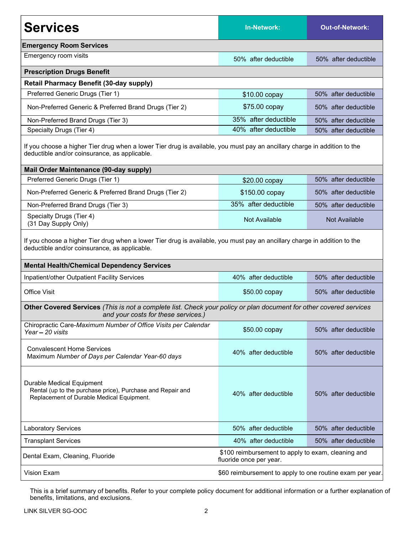| <b>Services</b>                                                                                                                                                                                                                 | <b>In-Network:</b>   | <b>Out-of-Network:</b> |  |  |
|---------------------------------------------------------------------------------------------------------------------------------------------------------------------------------------------------------------------------------|----------------------|------------------------|--|--|
| <b>Emergency Room Services</b>                                                                                                                                                                                                  |                      |                        |  |  |
| Emergency room visits                                                                                                                                                                                                           | 50% after deductible | 50% after deductible   |  |  |
| <b>Prescription Drugs Benefit</b>                                                                                                                                                                                               |                      |                        |  |  |
| <b>Retail Pharmacy Benefit (30-day supply)</b>                                                                                                                                                                                  |                      |                        |  |  |
| Preferred Generic Drugs (Tier 1)                                                                                                                                                                                                | \$10.00 copay        | 50% after deductible   |  |  |
| Non-Preferred Generic & Preferred Brand Drugs (Tier 2)                                                                                                                                                                          | \$75.00 copay        | 50% after deductible   |  |  |
| Non-Preferred Brand Drugs (Tier 3)                                                                                                                                                                                              | 35% after deductible | 50% after deductible   |  |  |
| Specialty Drugs (Tier 4)                                                                                                                                                                                                        | 40% after deductible | 50% after deductible   |  |  |
| If you choose a higher Tier drug when a lower Tier drug is available, you must pay an ancillary charge in addition to the<br>deductible and/or coinsurance, as applicable.                                                      |                      |                        |  |  |
| Mail Order Maintenance (90-day supply)                                                                                                                                                                                          |                      |                        |  |  |
| Preferred Generic Drugs (Tier 1)                                                                                                                                                                                                | $$20.00$ copay       | 50% after deductible   |  |  |
| Non-Preferred Generic & Preferred Brand Drugs (Tier 2)                                                                                                                                                                          | \$150.00 copay       | 50% after deductible   |  |  |
| Non-Preferred Brand Drugs (Tier 3)                                                                                                                                                                                              | 35% after deductible | 50% after deductible   |  |  |
| Specialty Drugs (Tier 4)<br>(31 Day Supply Only)                                                                                                                                                                                | <b>Not Available</b> | Not Available          |  |  |
| If you choose a higher Tier drug when a lower Tier drug is available, you must pay an ancillary charge in addition to the<br>deductible and/or coinsurance, as applicable.<br><b>Mental Health/Chemical Dependency Services</b> |                      |                        |  |  |
| Inpatient/other Outpatient Facility Services                                                                                                                                                                                    | 40% after deductible | 50% after deductible   |  |  |
| <b>Office Visit</b>                                                                                                                                                                                                             | \$50.00 copay        | 50% after deductible   |  |  |
| Other Covered Services (This is not a complete list. Check your policy or plan document for other covered services<br>and your costs for these services.)                                                                       |                      |                        |  |  |
| Chiropractic Care-Maximum Number of Office Visits per Calendar<br>Year - 20 visits                                                                                                                                              | \$50.00 copay        | 50% after deductible   |  |  |
| <b>Convalescent Home Services</b><br>Maximum Number of Days per Calendar Year-60 days                                                                                                                                           | 40% after deductible | 50% after deductible   |  |  |
| Durable Medical Equipment<br>Rental (up to the purchase price), Purchase and Repair and<br>Replacement of Durable Medical Equipment.                                                                                            | 40% after deductible | 50% after deductible   |  |  |
| <b>Laboratory Services</b>                                                                                                                                                                                                      | 50% after deductible | 50% after deductible   |  |  |
| <b>Transplant Services</b>                                                                                                                                                                                                      | 40% after deductible | 50% after deductible   |  |  |
| \$100 reimbursement to apply to exam, cleaning and<br>Dental Exam, Cleaning, Fluoride<br>fluoride once per year.                                                                                                                |                      |                        |  |  |
| Vision Exam<br>\$60 reimbursement to apply to one routine exam per year.                                                                                                                                                        |                      |                        |  |  |

This is a brief summary of benefits. Refer to your complete policy document for additional information or a further explanation of benefits, limitations, and exclusions.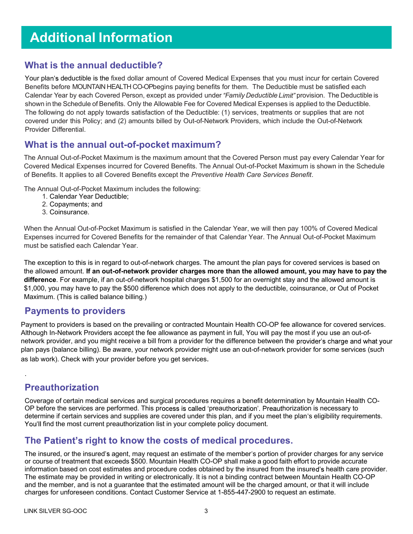# Additional Information

#### What is the annual deductible?

Your plan's deductible is the fixed dollar amount of Covered Medical Expenses that you must incur for certain Covered Benefits before MOUNTAIN HEALTH CO-OPbegins paying benefits for them. The Deductible must be satisfied each Calendar Year by each Covered Person, except as provided under "Family Deductible Limit" provision. The Deductible is shown in the Schedule of Benefits. Only the Allowable Fee for Covered Medical Expenses is applied to the Deductible. The following do not apply towards satisfaction of the Deductible: (1) services, treatments or supplies that are not covered under this Policy; and (2) amounts billed by Out-of-Network Providers, which include the Out-of-Network Provider Differential.

#### What is the annual out-of-pocket maximum?

The Annual Out-of-Pocket Maximum is the maximum amount that the Covered Person must pay every Calendar Year for Covered Medical Expenses incurred for Covered Benefits. The Annual Out-of-Pocket Maximum is shown in the Schedule of Benefits. It applies to all Covered Benefits except the Preventive Health Care Services Benefit.

The Annual Out-of-Pocket Maximum includes the following:

- 1. Calendar Year Deductible;
- 2. Copayments; and
- 3. Coinsurance.

When the Annual Out-of-Pocket Maximum is satisfied in the Calendar Year, we will then pay 100% of Covered Medical Expenses incurred for Covered Benefits for the remainder of that Calendar Year. The Annual Out-of-Pocket Maximum must be satisfied each Calendar Year.

The exception to this is in regard to out-of-network charges. The amount the plan pays for covered services is based on the allowed amount. If an out-of-network provider charges more than the allowed amount, you may have to pay the difference. For example, if an out-of-network hospital charges \$1,500 for an overnight stay and the allowed amount is \$1,000, you may have to pay the \$500 difference which does not apply to the deductible, coinsurance, or Out of Pocket Maximum. (This is called balance billing.)

#### Payments to providers

Payment to providers is based on the prevailing or contracted Mountain Health CO-OP fee allowance for covered services. Although In-Network Providers accept the fee allowance as payment in full, You will pay the most if you use an out-ofnetwork provider, and you might receive a bill from a provider for the difference between the provider's charge and what your plan pays (balance billing). Be aware, your network provider might use an out-of-network provider for some services (such as lab work). Check with your provider before you get services.

### Preauthorization

.

Coverage of certain medical services and surgical procedures requires a benefit determination by Mountain Health CO-OP before the services are performed. This process is called 'preauthorization'. Preauthorization is necessary to determine if certain services and supplies are covered under this plan, and if you meet the plan's eligibility requirements. You'll find the most current preauthorization list in your complete policy document.

### The Patient's right to know the costs of medical procedures.

The insured, or the insured's agent, may request an estimate of the member's portion of provider charges for any service or course of treatment that exceeds \$500. Mountain Health CO-OP shall make a good faith effort to provide accurate information based on cost estimates and procedure codes obtained by the insured from the insured's health care provider. The estimate may be provided in writing or electronically. It is not a binding contract between Mountain Health CO-OP and the member, and is not a guarantee that the estimated amount will be the charged amount, or that it will include charges for unforeseen conditions. Contact Customer Service at 1-855-447-2900 to request an estimate.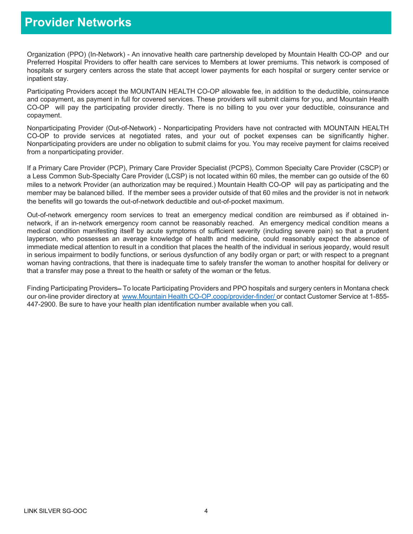## Provider Networks

Organization (PPO) (In-Network) - An innovative health care partnership developed by Mountain Health CO-OP and our Preferred Hospital Providers to offer health care services to Members at lower premiums. This network is composed of hospitals or surgery centers across the state that accept lower payments for each hospital or surgery center service or inpatient stay.

Participating Providers accept the MOUNTAIN HEALTH CO-OP allowable fee, in addition to the deductible, coinsurance and copayment, as payment in full for covered services. These providers will submit claims for you, and Mountain Health CO-OP will pay the participating provider directly. There is no billing to you over your deductible, coinsurance and copayment.

Nonparticipating Provider (Out-of-Network) - Nonparticipating Providers have not contracted with MOUNTAIN HEALTH CO-OP to provide services at negotiated rates, and your out of pocket expenses can be significantly higher. Nonparticipating providers are under no obligation to submit claims for you. You may receive payment for claims received from a nonparticipating provider.

If a Primary Care Provider (PCP), Primary Care Provider Specialist (PCPS), Common Specialty Care Provider (CSCP) or a Less Common Sub-Specialty Care Provider (LCSP) is not located within 60 miles, the member can go outside of the 60 miles to a network Provider (an authorization may be required.) Mountain Health CO-OP will pay as participating and the member may be balanced billed. If the member sees a provider outside of that 60 miles and the provider is not in network the benefits will go towards the out-of-network deductible and out-of-pocket maximum.

Out-of-network emergency room services to treat an emergency medical condition are reimbursed as if obtained innetwork, if an in-network emergency room cannot be reasonably reached. An emergency medical condition means a medical condition manifesting itself by acute symptoms of sufficient severity (including severe pain) so that a prudent layperson, who possesses an average knowledge of health and medicine, could reasonably expect the absence of immediate medical attention to result in a condition that places the health of the individual in serious jeopardy, would result in serious impairment to bodily functions, or serious dysfunction of any bodily organ or part; or with respect to a pregnant woman having contractions, that there is inadequate time to safely transfer the woman to another hospital for delivery or that a transfer may pose a threat to the health or safety of the woman or the fetus.

Finding Participating Providers–To locate Participating Providers and PPO hospitals and surgery centers in Montana check our on-line provider directory at www.Mountain Health CO-OP.coop/provider-finder/ or contact Customer Service at 1-855-447-2900. Be sure to have your health plan identification number available when you call.